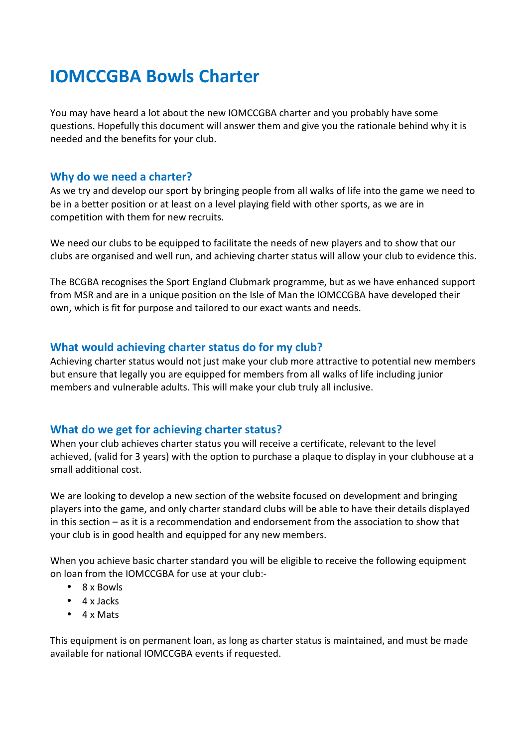## **IOMCCGBA Bowls Charter**

You may have heard a lot about the new IOMCCGBA charter and you probably have some questions. Hopefully this document will answer them and give you the rationale behind why it is needed and the benefits for your club.

### **Why do we need a charter?**

As we try and develop our sport by bringing people from all walks of life into the game we need to be in a better position or at least on a level playing field with other sports, as we are in competition with them for new recruits.

We need our clubs to be equipped to facilitate the needs of new players and to show that our clubs are organised and well run, and achieving charter status will allow your club to evidence this.

The BCGBA recognises the Sport England Clubmark programme, but as we have enhanced support from MSR and are in a unique position on the Isle of Man the IOMCCGBA have developed their own, which is fit for purpose and tailored to our exact wants and needs.

### **What would achieving charter status do for my club?**

Achieving charter status would not just make your club more attractive to potential new members but ensure that legally you are equipped for members from all walks of life including junior members and vulnerable adults. This will make your club truly all inclusive.

### **What do we get for achieving charter status?**

When your club achieves charter status you will receive a certificate, relevant to the level achieved, (valid for 3 years) with the option to purchase a plaque to display in your clubhouse at a small additional cost.

We are looking to develop a new section of the website focused on development and bringing players into the game, and only charter standard clubs will be able to have their details displayed in this section – as it is a recommendation and endorsement from the association to show that your club is in good health and equipped for any new members.

When you achieve basic charter standard you will be eligible to receive the following equipment on loan from the IOMCCGBA for use at your club:-

- 8 x Bowls
- 4 x Jacks
- 4 x Mats

This equipment is on permanent loan, as long as charter status is maintained, and must be made available for national IOMCCGBA events if requested.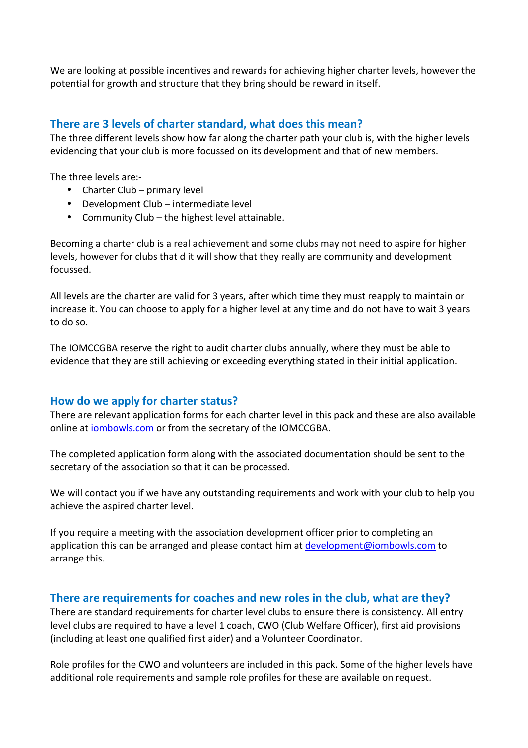We are looking at possible incentives and rewards for achieving higher charter levels, however the potential for growth and structure that they bring should be reward in itself.

### **There are 3 levels of charter standard, what does this mean?**

The three different levels show how far along the charter path your club is, with the higher levels evidencing that your club is more focussed on its development and that of new members.

The three levels are:-

- Charter Club primary level
- Development Club intermediate level
- Community Club the highest level attainable.

Becoming a charter club is a real achievement and some clubs may not need to aspire for higher levels, however for clubs that d it will show that they really are community and development focussed.

All levels are the charter are valid for 3 years, after which time they must reapply to maintain or increase it. You can choose to apply for a higher level at any time and do not have to wait 3 years to do so.

The IOMCCGBA reserve the right to audit charter clubs annually, where they must be able to evidence that they are still achieving or exceeding everything stated in their initial application.

### **How do we apply for charter status?**

There are relevant application forms for each charter level in this pack and these are also available online at iombowls.com or from the secretary of the IOMCCGBA.

The completed application form along with the associated documentation should be sent to the secretary of the association so that it can be processed.

We will contact you if we have any outstanding requirements and work with your club to help you achieve the aspired charter level.

If you require a meeting with the association development officer prior to completing an application this can be arranged and please contact him at development@iombowls.com to arrange this.

### **There are requirements for coaches and new roles in the club, what are they?**

There are standard requirements for charter level clubs to ensure there is consistency. All entry level clubs are required to have a level 1 coach, CWO (Club Welfare Officer), first aid provisions (including at least one qualified first aider) and a Volunteer Coordinator.

Role profiles for the CWO and volunteers are included in this pack. Some of the higher levels have additional role requirements and sample role profiles for these are available on request.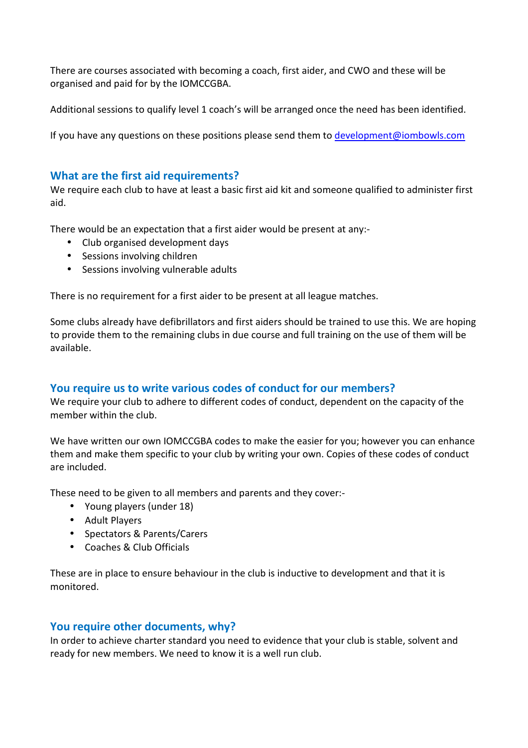There are courses associated with becoming a coach, first aider, and CWO and these will be organised and paid for by the IOMCCGBA.

Additional sessions to qualify level 1 coach's will be arranged once the need has been identified.

If you have any questions on these positions please send them to development@iombowls.com

### **What are the first aid requirements?**

We require each club to have at least a basic first aid kit and someone qualified to administer first aid.

There would be an expectation that a first aider would be present at any:-

- Club organised development days
- Sessions involving children
- Sessions involving vulnerable adults

There is no requirement for a first aider to be present at all league matches.

Some clubs already have defibrillators and first aiders should be trained to use this. We are hoping to provide them to the remaining clubs in due course and full training on the use of them will be available.

### **You require us to write various codes of conduct for our members?**

We require your club to adhere to different codes of conduct, dependent on the capacity of the member within the club.

We have written our own IOMCCGBA codes to make the easier for you; however you can enhance them and make them specific to your club by writing your own. Copies of these codes of conduct are included.

These need to be given to all members and parents and they cover:-

- Young players (under 18)
- Adult Players
- Spectators & Parents/Carers
- Coaches & Club Officials

These are in place to ensure behaviour in the club is inductive to development and that it is monitored.

### **You require other documents, why?**

In order to achieve charter standard you need to evidence that your club is stable, solvent and ready for new members. We need to know it is a well run club.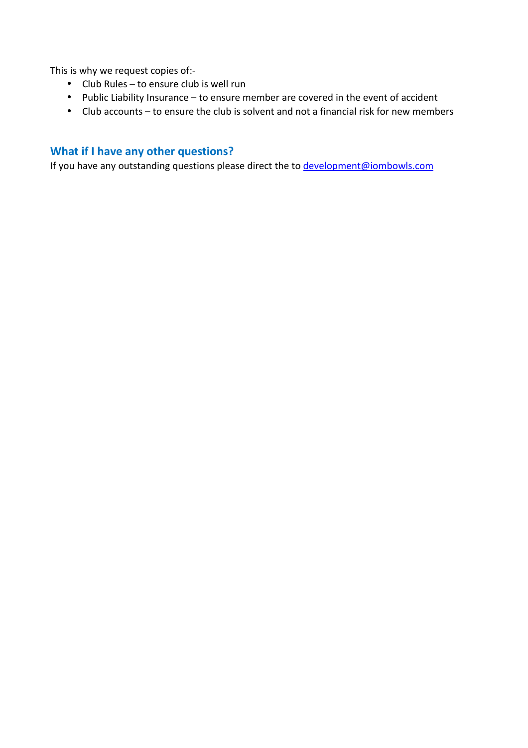This is why we request copies of:-

- Club Rules to ensure club is well run
- Public Liability Insurance to ensure member are covered in the event of accident
- Club accounts to ensure the club is solvent and not a financial risk for new members

## **What if I have any other questions?**

If you have any outstanding questions please direct the to **development@iombowls.com**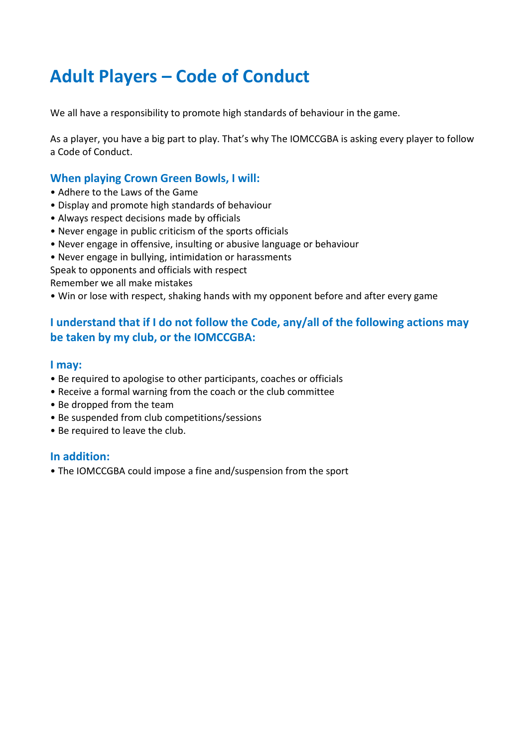# **Adult Players – Code of Conduct**

We all have a responsibility to promote high standards of behaviour in the game.

As a player, you have a big part to play. That's why The IOMCCGBA is asking every player to follow a Code of Conduct.

## **When playing Crown Green Bowls, I will:**

- Adhere to the Laws of the Game
- Display and promote high standards of behaviour
- Always respect decisions made by officials
- Never engage in public criticism of the sports officials
- Never engage in offensive, insulting or abusive language or behaviour
- Never engage in bullying, intimidation or harassments

Speak to opponents and officials with respect Remember we all make mistakes

• Win or lose with respect, shaking hands with my opponent before and after every game

## **I understand that if I do not follow the Code, any/all of the following actions may be taken by my club, or the IOMCCGBA:**

### **I may:**

- Be required to apologise to other participants, coaches or officials
- Receive a formal warning from the coach or the club committee
- Be dropped from the team
- Be suspended from club competitions/sessions
- Be required to leave the club.

### **In addition:**

• The IOMCCGBA could impose a fine and/suspension from the sport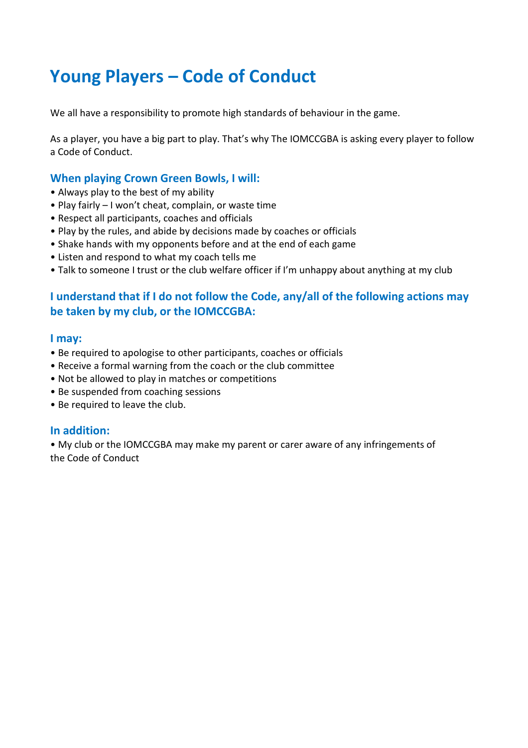# **Young Players – Code of Conduct**

We all have a responsibility to promote high standards of behaviour in the game.

As a player, you have a big part to play. That's why The IOMCCGBA is asking every player to follow a Code of Conduct.

## **When playing Crown Green Bowls, I will:**

- Always play to the best of my ability
- Play fairly I won't cheat, complain, or waste time
- Respect all participants, coaches and officials
- Play by the rules, and abide by decisions made by coaches or officials
- Shake hands with my opponents before and at the end of each game
- Listen and respond to what my coach tells me
- Talk to someone I trust or the club welfare officer if I'm unhappy about anything at my club

## **I understand that if I do not follow the Code, any/all of the following actions may be taken by my club, or the IOMCCGBA:**

### **I may:**

- Be required to apologise to other participants, coaches or officials
- Receive a formal warning from the coach or the club committee
- Not be allowed to play in matches or competitions
- Be suspended from coaching sessions
- Be required to leave the club.

### **In addition:**

• My club or the IOMCCGBA may make my parent or carer aware of any infringements of the Code of Conduct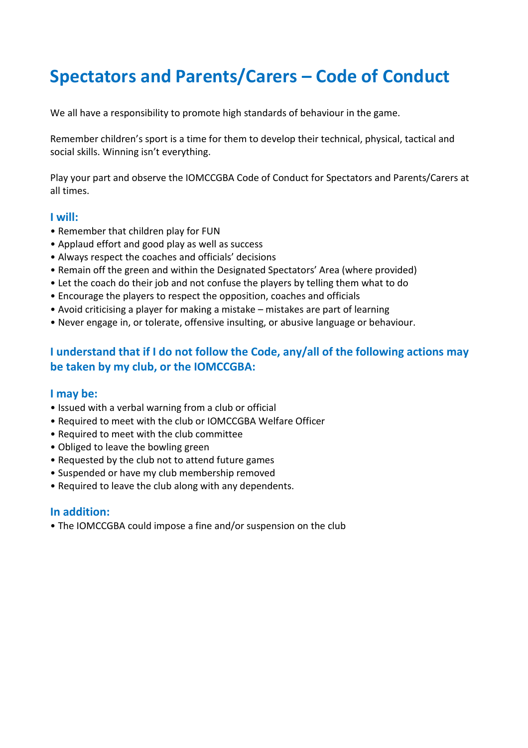# **Spectators and Parents/Carers – Code of Conduct**

We all have a responsibility to promote high standards of behaviour in the game.

Remember children's sport is a time for them to develop their technical, physical, tactical and social skills. Winning isn't everything.

Play your part and observe the IOMCCGBA Code of Conduct for Spectators and Parents/Carers at all times.

### **I will:**

- Remember that children play for FUN
- Applaud effort and good play as well as success
- Always respect the coaches and officials' decisions
- Remain off the green and within the Designated Spectators' Area (where provided)
- Let the coach do their job and not confuse the players by telling them what to do
- Encourage the players to respect the opposition, coaches and officials
- Avoid criticising a player for making a mistake mistakes are part of learning
- Never engage in, or tolerate, offensive insulting, or abusive language or behaviour.

## **I understand that if I do not follow the Code, any/all of the following actions may be taken by my club, or the IOMCCGBA:**

### **I may be:**

- Issued with a verbal warning from a club or official
- Required to meet with the club or IOMCCGBA Welfare Officer
- Required to meet with the club committee
- Obliged to leave the bowling green
- Requested by the club not to attend future games
- Suspended or have my club membership removed
- Required to leave the club along with any dependents.

### **In addition:**

• The IOMCCGBA could impose a fine and/or suspension on the club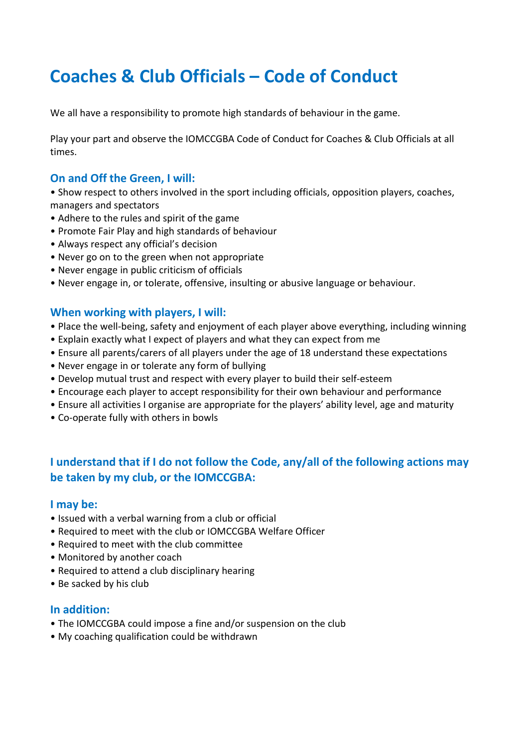# **Coaches & Club Officials – Code of Conduct**

We all have a responsibility to promote high standards of behaviour in the game.

Play your part and observe the IOMCCGBA Code of Conduct for Coaches & Club Officials at all times.

## **On and Off the Green, I will:**

• Show respect to others involved in the sport including officials, opposition players, coaches, managers and spectators

- Adhere to the rules and spirit of the game
- Promote Fair Play and high standards of behaviour
- Always respect any official's decision
- Never go on to the green when not appropriate
- Never engage in public criticism of officials
- Never engage in, or tolerate, offensive, insulting or abusive language or behaviour.

### **When working with players, I will:**

- Place the well-being, safety and enjoyment of each player above everything, including winning
- Explain exactly what I expect of players and what they can expect from me
- Ensure all parents/carers of all players under the age of 18 understand these expectations
- Never engage in or tolerate any form of bullying
- Develop mutual trust and respect with every player to build their self-esteem
- Encourage each player to accept responsibility for their own behaviour and performance
- Ensure all activities I organise are appropriate for the players' ability level, age and maturity
- Co-operate fully with others in bowls

## **I understand that if I do not follow the Code, any/all of the following actions may be taken by my club, or the IOMCCGBA:**

### **I may be:**

- Issued with a verbal warning from a club or official
- Required to meet with the club or IOMCCGBA Welfare Officer
- Required to meet with the club committee
- Monitored by another coach
- Required to attend a club disciplinary hearing
- Be sacked by his club

### **In addition:**

- The IOMCCGBA could impose a fine and/or suspension on the club
- My coaching qualification could be withdrawn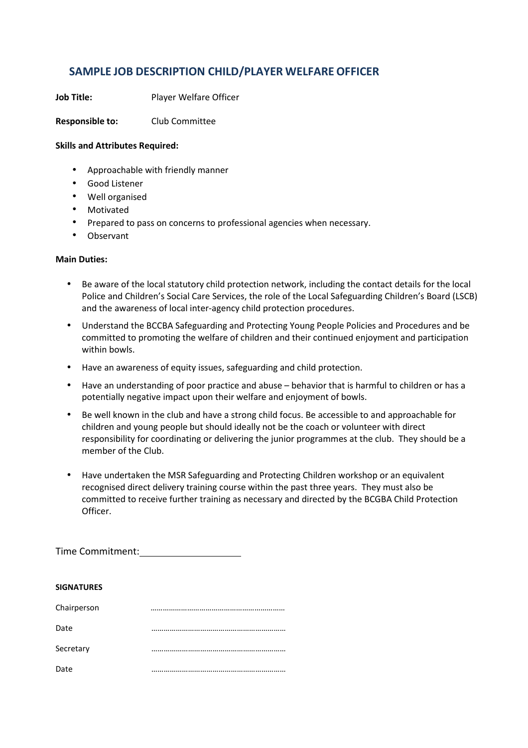## **SAMPLE JOB DESCRIPTION CHILD/PLAYER WELFARE OFFICER**

**Job Title:** Player Welfare Officer

**Responsible to:** Club Committee

#### **Skills and Attributes Required:**

- Approachable with friendly manner
- Good Listener
- Well organised
- Motivated
- Prepared to pass on concerns to professional agencies when necessary.
- Observant

#### **Main Duties:**

- Be aware of the local statutory child protection network, including the contact details for the local Police and Children's Social Care Services, the role of the Local Safeguarding Children's Board (LSCB) and the awareness of local inter-agency child protection procedures.
- Understand the BCCBA Safeguarding and Protecting Young People Policies and Procedures and be committed to promoting the welfare of children and their continued enjoyment and participation within bowls.
- Have an awareness of equity issues, safeguarding and child protection.
- Have an understanding of poor practice and abuse behavior that is harmful to children or has a potentially negative impact upon their welfare and enjoyment of bowls.
- Be well known in the club and have a strong child focus. Be accessible to and approachable for children and young people but should ideally not be the coach or volunteer with direct responsibility for coordinating or delivering the junior programmes at the club. They should be a member of the Club.
- Have undertaken the MSR Safeguarding and Protecting Children workshop or an equivalent recognised direct delivery training course within the past three years. They must also be committed to receive further training as necessary and directed by the BCGBA Child Protection Officer.

Time Commitment:

#### **SIGNATURES**

| Chairperson |  |
|-------------|--|
| Date        |  |
| Secretary   |  |
| Date        |  |